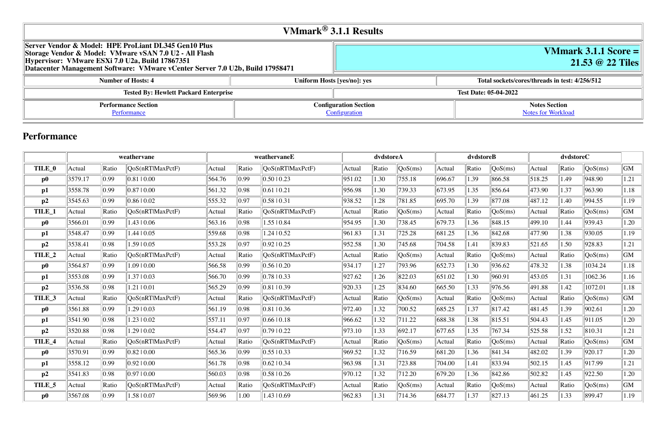# **VMmark 3.1.1 Score = 21.53 @ 22 Tiles**

# **Number 18 instead in test: 4/256/512**

# **Notes Section** [Notes for Workload](file:///Users/griderr/Documents/ReviewPanel/0503/2022-05-17-HPE.html#NotesForWorkload)

|                                                                                                                                                                                                                                                    | VMmark $^{\circledR}$ 3.1.1 Results           |                              |
|----------------------------------------------------------------------------------------------------------------------------------------------------------------------------------------------------------------------------------------------------|-----------------------------------------------|------------------------------|
| Server Vendor & Model: HPE ProLiant DL345 Gen10 Plus<br>Storage Vendor & Model: VMware vSAN 7.0 U2 - All Flash<br>Hypervisor: VMware ESXi 7.0 U2a, Build 17867351<br>Datacenter Management Software: VMware vCenter Server 7.0 U2b, Build 17958471 |                                               |                              |
| <b>Number of Hosts: 4</b>                                                                                                                                                                                                                          | Uniform Hosts [yes/no]: yes                   | Total sockets/c              |
| <b>Tested By: Hewlett Packard Enterprise</b>                                                                                                                                                                                                       |                                               | <b>Test Date: 05-04-2022</b> |
| <b>Performance Section</b><br>Performance                                                                                                                                                                                                          | <b>Configuration Section</b><br>Configuration |                              |

# **Performance**

|          | weathervane |                |                  |        | weathervaneE       | dvdstoreA                |        |       | dvdstoreB |        | dvdstoreC |         |        |       |         |      |
|----------|-------------|----------------|------------------|--------|--------------------|--------------------------|--------|-------|-----------|--------|-----------|---------|--------|-------|---------|------|
| TILE_0   | Actual      | Ratio          | QoS(nRTlMaxPctF) | Actual | Ratio              | QoS(nRT MaxPctF)         | Actual | Ratio | QoS(ms)   | Actual | Ratio     | QoS(ms) | Actual | Ratio | QoS(ms) | GM   |
| $\bf p0$ | 3579.17     | $ 0.99\rangle$ | 0.8110.00        | 564.76 | 0.99               | 0.50 0.23                | 951.02 | 1.30  | 755.18    | 696.67 | 1.39      | 866.58  | 518.25 | 1.49  | 948.90  | 1.21 |
| p1       | 3558.78     | 0.99           | 0.8710.00        | 561.32 | 0.98               | 0.61 0.21                | 956.98 | 1.30  | 739.33    | 673.95 | 1.35      | 856.64  | 473.90 | 1.37  | 963.90  | 1.18 |
| p2       | 3545.63     | 0.99           | 0.8610.02        | 555.32 | 0.97               | 0.58 0.31                | 938.52 | 1.28  | 781.85    | 695.70 | 1.39      | 877.08  | 487.12 | 1.40  | 994.55  | 1.19 |
| TILE_1   | Actual      | Ratio          | QoS(nRTlMaxPctF) | Actual | Ratio              | $\sqrt{QoS(nRT)MaxPctF}$ | Actual | Ratio | QoS(ms)   | Actual | Ratio     | QoS(ms) | Actual | Ratio | QoS(ms) | GM   |
| $\bf p0$ | 3566.01     | $ 0.99\rangle$ | 1.43   0.06      | 563.16 | 0.98               | $1.55 \mid 0.84$         | 954.95 | 1.30  | 738.45    | 679.73 | 1.36      | 848.15  | 499.10 | 1.44  | 939.43  | 1.20 |
| p1       | 3548.47     | 0.99           | 1.4410.05        | 559.68 | 0.98               | $1.24 \mid 0.52$         | 961.83 | 1.31  | 725.28    | 681.25 | 1.36      | 842.68  | 477.90 | 1.38  | 930.05  | 1.19 |
| p2       | 3538.41     | 0.98           | 1.5910.05        | 553.28 | 0.97               | 0.92 10.25               | 952.58 | 1.30  | 745.68    | 704.58 | 1.41      | 839.83  | 521.65 | 1.50  | 928.83  | 1.21 |
| TILE_2   | Actual      | Ratio          | QoS(nRTlMaxPctF) | Actual | Ratio              | $\sqrt{QoS(nRT)MaxPctF}$ | Actual | Ratio | QoS(ms)   | Actual | Ratio     | QoS(ms) | Actual | Ratio | QoS(ms) | GM   |
| $\bf p0$ | 3564.87     | $ 0.99\rangle$ | 1.09   0.00      | 566.58 | 0.99               | $0.56 \mid 0.20$         | 934.17 | 1.27  | 793.96    | 652.73 | 1.30      | 936.62  | 478.32 | 1.38  | 1034.24 | 1.18 |
| p1       | 3553.08     | $ 0.99\rangle$ | 1.3710.03        | 566.70 | 0.99               | 0.78 0.33                | 927.62 | 1.26  | 822.03    | 651.02 | 1.30      | 960.91  | 453.05 | 1.31  | 1062.36 | 1.16 |
| p2       | 3536.58     | 0.98           | 1.2110.01        | 565.29 | 0.99               | 0.81 0.39                | 920.33 | 1.25  | 834.60    | 665.50 | 1.33      | 976.56  | 491.88 | 1.42  | 1072.01 | 1.18 |
| TILE_3   | Actual      | Ratio          | QoS(nRTlMaxPctF) | Actual | Ratio              | QoS(nRT MaxPctF)         | Actual | Ratio | QoS(ms)   | Actual | Ratio     | QoS(ms) | Actual | Ratio | QoS(ms) | GM   |
| $\bf p0$ | 3561.88     | $ 0.99\rangle$ | 1.2910.03        | 561.19 | 0.98               | $ 0.81 $ 0.36            | 972.40 | 1.32  | 700.52    | 685.25 | 1.37      | 817.42  | 481.45 | 1.39  | 902.61  | 1.20 |
| p1       | 3541.90     | 0.98           | 1.2310.02        | 557.11 | 0.97               | 0.66 0.18                | 966.62 | 1.32  | 711.22    | 688.38 | 1.38      | 815.51  | 504.43 | 1.45  | 911.05  | 1.20 |
| p2       | 3520.88     | 0.98           | 1.29   0.02      | 554.47 | 0.97               | 0.7910.22                | 973.10 | 1.33  | 692.17    | 677.65 | 1.35      | 767.34  | 525.58 | 1.52  | 810.31  | 1.21 |
| TILE_4   | Actual      | Ratio          | QoS(nRTlMaxPctF) | Actual | Ratio              | $\sqrt{QoS(nRT)MaxPctF}$ | Actual | Ratio | QoS(ms)   | Actual | Ratio     | QoS(ms) | Actual | Ratio | QoS(ms) | GM   |
| $\bf p0$ | 3570.91     | $ 0.99\rangle$ | 0.8210.00        | 565.36 | 0.99               | 0.55 0.33                | 969.52 | 1.32  | 716.59    | 681.20 | 1.36      | 841.34  | 482.02 | 1.39  | 920.17  | 1.20 |
| p1       | 3558.12     | 0.99           | 0.9210.00        | 561.78 | $\vert 0.98 \vert$ | 0.62 10.34               | 963.98 | 1.31  | 723.88    | 704.00 | 1.41      | 833.94  | 502.15 | 1.45  | 917.99  | 1.21 |
| p2       | 3541.83     | 0.98           | 0.9710.00        | 560.03 | 0.98               | 0.58 0.26                | 970.12 | 1.32  | 712.20    | 679.20 | 1.36      | 842.86  | 502.82 | 1.45  | 922.50  | 1.20 |
| TILE_5   | Actual      | Ratio          | QoS(nRT MaxPctF) | Actual | Ratio              | $\sqrt{QoS(nRT)MaxPctF}$ | Actual | Ratio | QoS(ms)   | Actual | Ratio     | QoS(ms) | Actual | Ratio | QoS(ms) | GM   |
| $\bf p0$ | 3567.08     | $ 0.99\rangle$ | 1.5810.07        | 569.96 | 1.00               | 1.43   0.69              | 962.83 | 1.31  | 714.36    | 684.77 | 1.37      | 827.13  | 461.25 | 1.33  | 899.47  | 1.19 |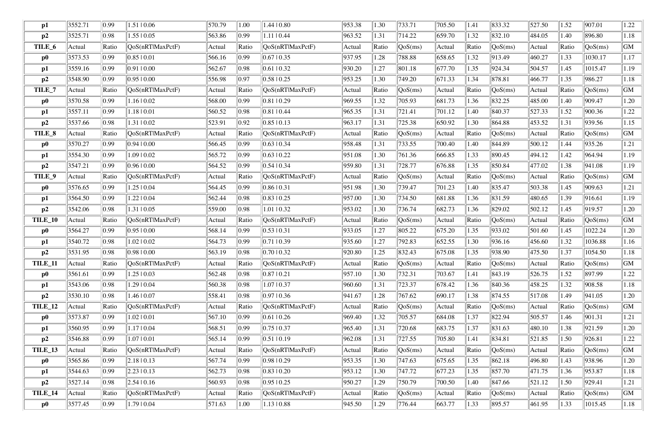| $\mathbf{p1}$  | 3552.71 | 0.99           | 1.51   0.06         | 570.79 | 1.00             | 1.44   0.80               | 953.38 | 1.30  | 733.71                           | 705.50 | 1.41  | 833.32                         | 527.50 | .52        | 907.01                           | 1.22        |
|----------------|---------|----------------|---------------------|--------|------------------|---------------------------|--------|-------|----------------------------------|--------|-------|--------------------------------|--------|------------|----------------------------------|-------------|
| p2             | 3525.71 | 0.98           | $1.55 \mid 0.05$    | 563.86 | $\parallel$ 0.99 | $1.11 \mid 0.44$          | 963.52 | 1.31  | 714.22                           | 659.70 | 1.32  | 832.10                         | 484.05 | .40        | 896.80                           | 1.18        |
| TILE_6         | Actual  | Ratio          | QoS(nRTlMaxPctF)    | Actual | Ratio            | QoS(nRTlMaxPctF)          | Actual | Ratio | $\sqrt{QoS(ms)}$                 | Actual | Ratio | QoS(ms)                        | Actual | Ratio      | QoS(ms)                          | <b>GM</b>   |
| $\bf p0$       | 3573.53 | 0.99           | 0.8510.01           | 566.16 | $\parallel$ 0.99 | $0.67 \mid 0.35$          | 937.95 | 1.28  | 788.88                           | 658.65 | 1.32  | 913.49                         | 460.27 | 1.33       | 1030.17                          | 1.17        |
| p1             | 3559.16 | 0.99           | 0.9110.00           | 562.67 | $\parallel$ 0.98 | $0.61$   $0.32$           | 930.20 | 1.27  | 801.18                           | 677.70 | 1.35  | 924.34                         | 504.57 | .45        | 1015.47                          | 1.19        |
| p2             | 3548.90 | $ 0.99\rangle$ | 0.9510.00           | 556.98 | $\parallel$ 0.97 | $0.58$   0.25             | 953.25 | 1.30  | 749.20                           | 671.33 | 1.34  | 878.81                         | 466.77 | 1.35       | 986.27                           | 1.18        |
| TILE_7         | Actual  | Ratio          | QoS(nRTlMaxPctF)    | Actual | Ratio            | QoS(nRT MaxPctF)          | Actual | Ratio | $\cos(ms)$                       | Actual | Ratio | QoS(ms)                        | Actual | Ratio      | QoS(ms)                          | <b>GM</b>   |
| $\bf p0$       | 3570.58 | $ 0.99\rangle$ | 1.16   0.02         | 568.00 | $\parallel$ 0.99 | 0.8110.29                 | 969.55 | 1.32  | 705.93                           | 681.73 | 1.36  | 832.25                         | 485.00 | .40        | 909.47                           | 1.20        |
| $\mathbf{p1}$  | 3557.11 | $ 0.99\rangle$ | 1.18   0.01         | 560.52 | $\parallel$ 0.98 | 0.8110.44                 | 965.35 | 1.31  | 721.41                           | 701.12 | 1.40  | 840.37                         | 527.33 | .52        | 900.36                           | 1.22        |
| p2             | 3537.66 | 0.98           | 1.31   0.02         | 523.91 | $\parallel$ 0.92 | $0.85 \mid 0.13$          | 963.17 | 1.31  | 725.38                           | 650.92 | 1.30  | 864.88                         | 453.52 | 1.31       | 939.56                           | 1.15        |
| TILE_8         | Actual  | Ratio          | QoS(nRTlMaxPctF)    | Actual | Ratio            | QoS(nRTlMaxPctF)          | Actual | Ratio | $\sqrt{QoS(ms)}$                 | Actual | Ratio | QoS(ms)                        | Actual | Ratio      | QoS(ms)                          | $\mbox{GM}$ |
| $\bf{p0}$      | 3570.27 | 0.99           | 0.9410.00           | 566.45 | $\parallel$ 0.99 | $0.63 \mid 0.34$          | 958.48 | 1.31  | 733.55                           | 700.40 | 1.40  | 844.89                         | 500.12 | 1.44       | 935.26                           | 1.21        |
| $\mathbf{p1}$  | 3554.30 | $ 0.99\rangle$ | 1.09   0.02         | 565.72 | $ 0.99\rangle$   | $0.63 \pm 0.22$           | 951.08 | 1.30  | 761.36                           | 666.85 | 1.33  | 890.45                         | 494.12 | .42        | 964.94                           | 1.19        |
| p2             | 3547.21 | $ 0.99\rangle$ | 0.9610.00           | 564.52 | $\parallel$ 0.99 | 0.5410.34                 | 959.80 | 1.31  | 728.77                           | 676.88 | 1.35  | 850.84                         | 477.02 | .38        | 941.08                           | 1.19        |
| TILE_9         | Actual  | Ratio          | QoS(nRTlMaxPctF)    | Actual | Ratio            | QoS(nRTIMaxPctF)          | Actual | Ratio | QoS(ms)                          | Actual | Ratio | QoS(ms)                        | Actual | Ratio      | QoS(ms)                          | <b>GM</b>   |
| $\bf p0$       | 3576.65 | $ 0.99\rangle$ | 1.25   0.04         | 564.45 | $\parallel$ 0.99 | 0.8610.31                 | 951.98 | 1.30  | 739.47                           | 701.23 | 1.40  | 835.47                         | 503.38 | 1.45       | 909.63                           | 1.21        |
| p1             | 3564.50 | 0.99           | 1.2210.04           | 562.44 | $\parallel$ 0.98 | $0.83 \mid 0.25$          | 957.00 | 1.30  | 734.50                           | 681.88 | 1.36  | 831.59                         | 480.65 | .39        | 916.61                           | 1.19        |
| p2             | 3542.06 | 0.98           | 1.31   0.05         | 559.00 | $\parallel$ 0.98 | $1.01 \mid 0.32$          | 953.02 | 1.30  | 736.74                           | 682.73 | 1.36  | 829.02                         | 502.12 | .45        | 919.57                           | 1.20        |
| TILE_10        | Actual  | Ratio          | QoS(nRTlMaxPctF)    | Actual | Ratio            | QoS(nRTlMaxPctF)          | Actual | Ratio | $\sqrt{\cos(ms)}$                | Actual | Ratio | QoS(ms)                        | Actual | Ratio      | $\sqrt{\text{QoS}(\text{ms})}$   | <b>GM</b>   |
| $\bf p0$       | 3564.27 | 0.99           | 0.9510.00           | 568.14 | $\parallel$ 0.99 | $0.53 \mid 0.31$          | 933.05 | 1.27  | 805.22                           | 675.20 | 1.35  | 933.02                         | 501.60 | .45        | 1022.24                          | 1.20        |
| p1             | 3540.72 | 0.98           | 1.02   0.02         | 564.73 | $\parallel$ 0.99 | 0.71 0.39                 | 935.60 | 1.27  | 792.83                           | 652.55 | 1.30  | 936.16                         | 456.60 | 1.32       | 1036.88                          | 1.16        |
| p2             | 3531.95 | 0.98           | 0.9810.00           | 563.19 | $\parallel$ 0.98 | 0.7010.32                 | 920.80 | 1.25  | $\ 832.43\ $                     | 675.08 | 1.35  | 938.90                         | 475.50 | 1.37       | 1054.50                          | 1.18        |
| <b>TILE_11</b> | Actual  | Ratio          | [QoS(nRTIMaxPetF)]  | Actual | $\ $ Ratio       | $\sqrt{QoS(nRTlMaxPctF)}$ | Actual | Ratio | $\left\vert \right\vert QoS(ms)$ | Actual | Ratio | $\sqrt{\text{QoS}(\text{ms})}$ | Actual | $\ $ Ratio | $\left\vert \right\vert QoS(ms)$ | GM          |
| $\bf p0$       | 3561.61 | 0.99           | $1.25 \mid 0.03$    | 562.48 | $\parallel$ 0.98 | 0.87 0.21                 | 957.10 | 1.30  | 732.31                           | 703.67 | 1.41  | 843.19                         | 526.75 | 1.52       | 897.99                           | 1.22        |
| p1             | 3543.06 | 0.98           | 1.29   0.04         | 560.38 | $\parallel$ 0.98 | 1.0710.37                 | 960.60 | 1.31  | 723.37                           | 678.42 | 1.36  | 840.36                         | 458.25 | 1.32       | 908.58                           | 1.18        |
| p2             | 3530.10 | 0.98           | 1.46   0.07         | 558.41 | $\parallel$ 0.98 | 0.97 0.36                 | 941.67 | 1.28  | 767.62                           | 690.17 | 1.38  | $\ 874.55\ $                   | 517.08 | .49        | 941.05                           | 1.20        |
| <b>TILE_12</b> | Actual  | Ratio          | QoS(nRTlMaxPctF)    | Actual | $\ $ Ratio       | QoS(nRTIMaxPctF)          | Actual | Ratio | $\sqrt{QoS(ms)}$                 | Actual | Ratio | $\sqrt{QoS(ms)}$               | Actual | Ratio      | QoS(ms)                          | <b>GM</b>   |
| $\bf p0$       | 3573.87 | $ 0.99\rangle$ | $1.02 \mid 0.01$    | 567.10 | $\parallel$ 0.99 | $0.61$   0.26             | 969.40 | 1.32  | 705.57                           | 684.08 | 1.37  | 822.94                         | 505.57 | 1.46       | 901.31                           | 1.21        |
| p1             | 3560.95 | $ 0.99\rangle$ | 1.1710.04           | 568.51 | $\parallel$ 0.99 | 0.7510.37                 | 965.40 | 1.31  | 720.68                           | 683.75 | 1.37  | 831.63                         | 480.10 | .38        | 921.59                           | 1.20        |
| p2             | 3546.88 | $ 0.99\rangle$ | 1.07   0.01         | 565.14 | $\parallel$ 0.99 | 0.51 0.19                 | 962.08 | 1.31  | 727.55                           | 705.80 | 1.41  | 834.81                         | 521.85 | .50        | 926.81                           | 1.22        |
| <b>TILE_13</b> | Actual  | Ratio          | QoS(nRTlMaxPctF)    | Actual | Ratio            | QoS(nRTlMaxPctF)          | Actual | Ratio | $\sqrt{QoS(ms)}$                 | Actual | Ratio | $\sqrt{QoS(ms)}$               | Actual | Ratio      | QoS(ms)                          | <b>GM</b>   |
| $\bf p0$       | 3565.86 | $ 0.99\rangle$ | 2.18 0.13           | 567.74 | $\parallel$ 0.99 | 0.9810.29                 | 953.35 | 1.30  | 747.63                           | 675.65 | 1.35  | 862.18                         | 496.80 | 1.43       | 938.96                           | 1.20        |
| p1             | 3544.63 | $ 0.99\rangle$ | 2.23   0.13         | 562.73 | $\parallel$ 0.98 | $0.83 \pm 0.20$           | 953.12 | 1.30  | 747.72                           | 677.23 | 1.35  | 857.70                         | 471.75 | 1.36       | 953.87                           | 1.18        |
| p2             | 3527.14 | 0.98           | $2.54 \times 10.16$ | 560.93 | $\parallel$ 0.98 | $0.95 \mid 0.25$          | 950.27 | 1.29  | 750.79                           | 700.50 | 1.40  | 847.66                         | 521.12 | .50        | 929.41                           | 1.21        |
| TILE_14        | Actual  | Ratio          | QoS(nRTlMaxPctF)    | Actual | Ratio            | QoS(nRTlMaxPctF)          | Actual | Ratio | $\sqrt{\cos(ms)}$                | Actual | Ratio | QoS(ms)                        | Actual | Ratio      | $\sqrt{QoS(ms)}$                 | <b>GM</b>   |
| $\bf p0$       | 3577.45 | 0.99           | 1.79   0.04         | 571.63 | 1.00             | $1.13 \mid 0.88$          | 945.50 | 1.29  | $\ 776.44\ $                     | 663.77 | 1.33  | 895.57                         | 461.95 | 1.33       | 1015.45                          | 1.18        |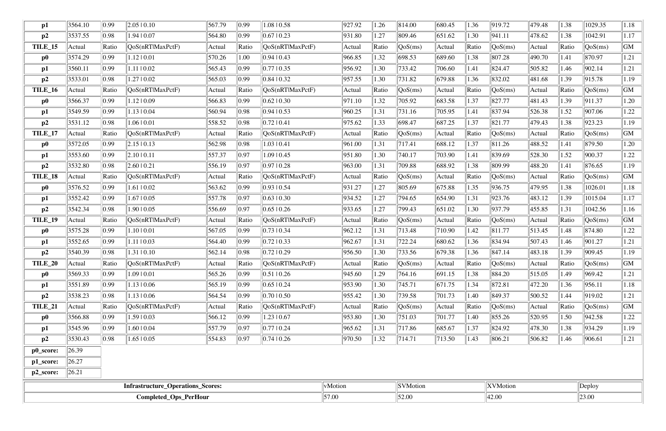|                      |         |                | Completed_Ops_PerHour             |        |                |                                  | 57.00   |       | 52.00                          |        |       | 42.00            |        |       | 23.00                          |      |
|----------------------|---------|----------------|-----------------------------------|--------|----------------|----------------------------------|---------|-------|--------------------------------|--------|-------|------------------|--------|-------|--------------------------------|------|
|                      |         |                | Infrastructure_Operations_Scores: |        |                |                                  | vMotion |       | SVMotion                       |        |       | <b>XVMotion</b>  |        |       | Deploy                         |      |
| p2_score:            | 26.21   |                |                                   |        |                |                                  |         |       |                                |        |       |                  |        |       |                                |      |
| p1_score:            | 26.27   |                |                                   |        |                |                                  |         |       |                                |        |       |                  |        |       |                                |      |
| p0_score:            | 26.39   |                |                                   |        |                |                                  |         |       |                                |        |       |                  |        |       |                                |      |
| p2                   | 3530.43 | 0.98           | $1.65 \mid 0.05$                  | 554.83 | 0.97           | $\vert 0.74 \, \vert 0.26 \vert$ | 970.50  | 1.32  | 714.71                         | 713.50 | 1.43  | 806.21           | 506.82 | 1.46  | 906.61                         | 1.21 |
| p1                   | 3545.96 | 0.99           | 1.6010.04                         | 557.79 | 0.97           | 0.77  0.24                       | 965.62  | 1.31  | 717.86                         | 685.67 | 1.37  | 824.92           | 478.30 | 1.38  | 934.29                         | 1.19 |
| $\bf p0$             | 3566.88 | 0.99           | 1.5910.03                         | 566.12 | 0.99           | 1.23   0.67                      | 953.80  | 1.30  | 751.03                         | 701.77 | 1.40  | 855.26           | 520.95 | 1.50  | 942.58                         | 1.22 |
| TILE_21              | Actual  | Ratio          | QoS(nRTlMaxPctF)                  | Actual | Ratio          | [QoS(nRTIMaxPctF)]               | Actual  | Ratio | QoS(ms)                        | Actual | Ratio | QoS(ms)          | Actual | Ratio | QoS(ms)                        | GM   |
| p2                   | 3538.23 | 0.98           | $1.13 \mid 0.06$                  | 564.54 | 0.99           | 0.7010.50                        | 955.42  | 1.30  | 739.58                         | 701.73 | 1.40  | 849.37           | 500.52 | 1.44  | 919.02                         | 1.21 |
| p1                   | 3551.89 | 0.99           | $1.13 \mid 0.06$                  | 565.19 | 0.99           | 0.65 0.24                        | 953.90  | 1.30  | 745.71                         | 671.75 | 1.34  | 872.81           | 472.20 | 1.36  | 956.11                         | 1.18 |
| $\bf p0$             | 3569.33 | 0.99           | 1.0910.01                         | 565.26 | 0.99           | $\vert 0.51 \vert 0.26 \vert$    | 945.60  | 1.29  | 764.16                         | 691.15 | 1.38  | 884.20           | 515.05 | 1.49  | 969.42                         | 1.21 |
| <b>TILE_20</b>       | Actual  | Ratio          | [QoS(nRTIMaxPetF)                 | Actual | $\ $ Ratio     | $\sqrt{QoS(nRT)MaxPctF}$         | Actual  | Ratio | $\sqrt{QoS(ms)}$               | Actual | Ratio | $\sqrt{QoS(ms)}$ | Actual | Ratio | $\sqrt{QoS(ms)}$               | GM   |
| p2                   | 3540.39 | 0.98           | 1.31   0.10                       | 562.14 | 0.98           | 0.72 0.29                        | 956.50  | 1.30  | 733.56                         | 679.38 | 1.36  | 847.14           | 483.18 | 1.39  | 909.45                         | 1.19 |
| p1                   | 3552.65 | 0.99           | 1.11   0.03                       | 564.40 | 0.99           | 0.72 0.33                        | 962.67  | 1.31  | 722.24                         | 680.62 | 1.36  | 834.94           | 507.43 | 1.46  | 901.27                         | 1.21 |
| $\bf p0$             | 3575.28 | 0.99           | 1.1010.01                         | 567.05 | 0.99           | 0.73 10.34                       | 962.12  | 1.31  | 713.48                         | 710.90 | 1.42  | 811.77           | 513.45 | 1.48  | 874.80                         | 1.22 |
| TILE_19              | Actual  | Ratio          | QoS(nRTlMaxPctF)                  | Actual | Ratio          | QoS(nRTlMaxPctF)                 | Actual  | Ratio | QoS(ms)                        | Actual | Ratio | QoS(ms)          | Actual | Ratio | $\sqrt{\text{QoS}(\text{ms})}$ | GM   |
| p2                   | 3542.34 | 0.98           | 1.90   0.05                       | 556.69 | 0.97           | 0.65 0.26                        | 933.65  | 1.27  | 799.43                         | 651.02 | 1.30  | 937.79           | 455.85 | 1.31  | 1042.56                        | 1.16 |
| p1                   | 3552.42 | 0.99           | $1.67 \mid 0.05$                  | 557.78 | 0.97           | 0.63 0.30                        | 934.52  | 1.27  | 794.65                         | 654.90 | 1.31  | 923.76           | 483.12 | 1.39  | 1015.04                        | 1.17 |
| $\bf p0$             | 3576.52 | $ 0.99\rangle$ | $1.61 \mid 0.02$                  | 563.62 | $ 0.99\rangle$ | 0.93 0.54                        | 931.27  | 1.27  | 805.69                         | 675.88 | 1.35  | 936.75           | 479.95 | 1.38  | 1026.01                        | 1.18 |
| TILE_18              | Actual  | Ratio          | QoS(nRTlMaxPctF)                  | Actual | Ratio          | QoS(nRTlMaxPctF)                 | Actual  | Ratio | QoS(ms)                        | Actual | Ratio | QoS(ms)          | Actual | Ratio | QoS(ms)                        | GM   |
| p2                   | 3532.80 | 0.98           | 2.6010.21                         | 556.19 | 0.97           | 0.9710.28                        | 963.00  | 1.31  | 709.88                         | 688.92 | 1.38  | 809.99           | 488.20 | 1.41  | 876.65                         | 1.19 |
| p1                   | 3553.60 | 0.99           | 2.1010.11                         | 557.37 | 0.97           | $1.09 \mid 0.45$                 | 951.80  | 1.30  | 740.17                         | 703.90 | 1.41  | 839.69           | 528.30 | 1.52  | 900.37                         | 1.22 |
| $\bf p0$             | 3572.05 | 0.99           | $2.15 \mid 0.13$                  | 562.98 | 0.98           | 1.03   0.41                      | 961.00  | 1.31  | 717.41                         | 688.12 | 1.37  | 811.26           | 488.52 | 1.41  | 879.50                         | 1.20 |
| TILE_17              | Actual  | Ratio          | QoS(nRTlMaxPctF)                  | Actual | Ratio          | $\sqrt{QoS(nRT)MaxPctF}$         | Actual  | Ratio | QoS(ms)                        | Actual | Ratio | QoS(ms)          | Actual | Ratio | QoS(ms)                        | GM   |
| p2                   | 3531.12 | 0.98           | 1.06   0.01                       | 558.52 | 0.98           | 0.72 0.41                        | 975.62  | 1.33  | 698.47                         | 687.25 | 1.37  | 821.77           | 479.43 | 1.38  | 923.23                         | 1.19 |
| $\mathbf{p1}$        | 3549.59 | 0.99           | $1.13 \mid 0.04$                  | 560.94 | 0.98           | 0.94 0.53                        | 960.25  | 1.31  | 731.16                         | 705.95 | 1.41  | 837.94           | 526.38 | 1.52  | 907.06                         | 1.22 |
| $\bf p0$             | 3566.37 | 0.99           | $1.12 \mid 0.09$                  | 566.83 | 0.99           | 0.62 0.30                        | 971.10  | 1.32  | 705.92                         | 683.58 | 1.37  | 827.77           | 481.43 | 1.39  | 911.37                         | 1.20 |
| <b>TILE_16</b>       | Actual  | Ratio          | QoS(nRTlMaxPctF)                  | Actual | Ratio          | QoS(nRT MaxPctF)                 | Actual  | Ratio | QoS(ms)                        | Actual | Ratio | QoS(ms)          | Actual | Ratio | QoS(ms)                        | GM   |
| p2                   | 3533.01 | 0.98           | 1.2710.02                         | 565.03 | $ 0.99\rangle$ | 0.84 10.32                       | 957.55  | 1.30  | 731.82                         | 679.88 | 1.36  | 832.02           | 481.68 | 1.39  | 915.78                         | 1.19 |
| p1                   | 3560.11 | 0.99           | 1.11   0.02                       | 565.43 | 0.99           | 0.77 0.35                        | 956.92  | 1.30  | 733.42                         | 706.60 | 1.41  | 824.47           | 505.82 | 1.46  | 902.14                         | 1.21 |
| $\bf p0$             | 3574.29 | 0.99           | 1.1210.01                         | 570.26 | 1.00           | 0.94  0.43                       | 966.85  | 1.32  | 698.53                         | 689.60 | 1.38  | 807.28           | 490.70 | 1.41  | 870.97                         | 1.21 |
| p2<br><b>TILE_15</b> | Actual  | Ratio          | QoS(nRTlMaxPctF)                  | Actual | Ratio          | QoS(nRTlMaxPctF)                 | Actual  | Ratio | $\sqrt{\text{QoS}(\text{ms})}$ | Actual | Ratio | QoS(ms)          | Actual | Ratio | $\sqrt{\text{QoS}(\text{ms})}$ | GM   |
| p1                   | 3537.55 | 0.98           | 1.94   0.07                       | 564.80 | 0.99           | 0.67 10.23                       | 931.80  | 1.27  | 809.46                         | 651.62 | 1.30  | 941.11           | 478.62 | 1.38  | 1042.91                        | 1.17 |
|                      | 3564.10 | 0.99           | $2.05 \mid 0.10$                  | 567.79 | 0.99           | 1.08   0.58                      | 927.92  | 1.26  | 814.00                         | 680.45 | 1.36  | 919.72           | 479.48 | 1.38  | 1029.35                        | 1.18 |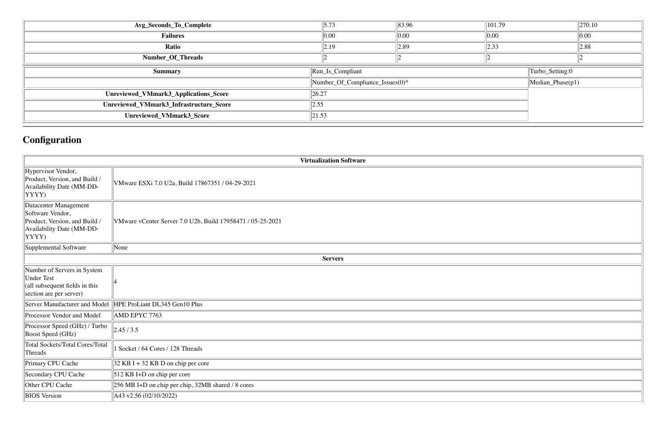| 5.73                                                               | $\ 83.96\ $      | $\vert 101.79 \vert$            | $\ 270.10\ $     |  |  |
|--------------------------------------------------------------------|------------------|---------------------------------|------------------|--|--|
| 0.00                                                               | 0.00             | $\ 0.00\ $                      | 0.00             |  |  |
| $\parallel$ 2.19                                                   | $\parallel$ 2.89 | $\vert$ 2.33                    | $\parallel$ 2.88 |  |  |
|                                                                    |                  |                                 |                  |  |  |
| $\left\vert \text{Run}\_{\text{Is}\_{\text{Compliant}}\right\vert$ | Turbo_Setting:0  |                                 |                  |  |  |
|                                                                    |                  |                                 | Median_Phase(p1) |  |  |
| 26.27                                                              |                  |                                 |                  |  |  |
| 2.55                                                               |                  |                                 |                  |  |  |
| 21.53                                                              |                  |                                 |                  |  |  |
|                                                                    |                  | Number_Of_Compliance_Issues(0)* |                  |  |  |

# **Configuration**

|                                                                                                                  | <b>Virtualization Software</b>                             |
|------------------------------------------------------------------------------------------------------------------|------------------------------------------------------------|
| Hypervisor Vendor,<br>Product, Version, and Build /<br>Availability Date (MM-DD-<br>YYYY)                        | VMware ESXi 7.0 U2a, Build 17867351 / 04-29-2021           |
| Datacenter Management<br>Software Vendor,<br>Product, Version, and Build /<br>Availability Date (MM-DD-<br>YYYY) | VMware vCenter Server 7.0 U2b, Build 17958471 / 05-25-2021 |
| Supplemental Software                                                                                            | None                                                       |
|                                                                                                                  | <b>Servers</b>                                             |
| Number of Servers in System<br><b>Under Test</b><br>(all subsequent fields in this<br>section are per server)    |                                                            |
| Server Manufacturer and Model                                                                                    | HPE ProLiant DL345 Gen10 Plus                              |
| Processor Vendor and Model                                                                                       | AMD EPYC 7763                                              |
| Processor Speed (GHz) / Turbo<br><b>Boost Speed (GHz)</b>                                                        | 2.45/3.5                                                   |
| <b>Total Sockets/Total Cores/Total</b><br>Threads                                                                | Socket / 64 Cores / 128 Threads                            |
| Primary CPU Cache                                                                                                | $32$ KB I + 32 KB D on chip per core                       |
| Secondary CPU Cache                                                                                              | $512$ KB I+D on chip per core                              |
| Other CPU Cache                                                                                                  | 256 MB I+D on chip per chip, 32MB shared / 8 cores         |
| <b>BIOS</b> Version                                                                                              | A43 v2.56 (02/10/2022)                                     |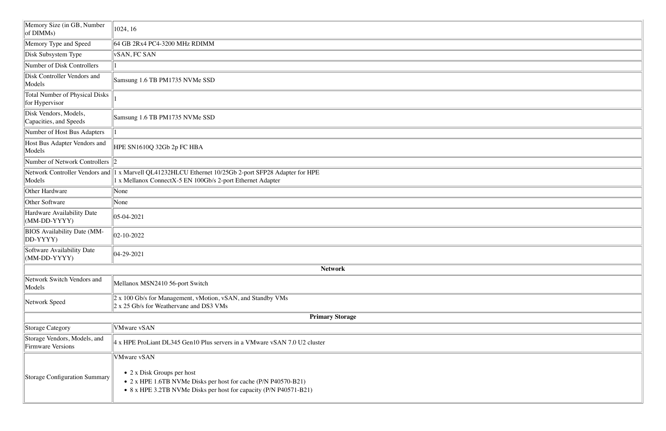| Memory Size (in GB, Number<br>of DIMMs)                  | 1024, 16                                                                                                                                                                                        |
|----------------------------------------------------------|-------------------------------------------------------------------------------------------------------------------------------------------------------------------------------------------------|
| Memory Type and Speed                                    | 64 GB 2Rx4 PC4-3200 MHz RDIMM                                                                                                                                                                   |
| Disk Subsystem Type                                      | vSAN, FC SAN                                                                                                                                                                                    |
| Number of Disk Controllers                               |                                                                                                                                                                                                 |
| Disk Controller Vendors and<br>Models                    | Samsung 1.6 TB PM1735 NVMe SSD                                                                                                                                                                  |
| <b>Total Number of Physical Disks</b><br>for Hypervisor  |                                                                                                                                                                                                 |
| Disk Vendors, Models,<br>Capacities, and Speeds          | Samsung 1.6 TB PM1735 NVMe SSD                                                                                                                                                                  |
| Number of Host Bus Adapters                              |                                                                                                                                                                                                 |
| Host Bus Adapter Vendors and<br>Models                   | HPE SN1610Q 32Gb 2p FC HBA                                                                                                                                                                      |
| Number of Network Controllers $\ 2\ $                    |                                                                                                                                                                                                 |
| Network Controller Vendors and<br>Models                 | 1 x Marvell QL41232HLCU Ethernet 10/25Gb 2-port SFP28 Adapter for HPE<br>1 x Mellanox ConnectX-5 EN 100Gb/s 2-port Ethernet Adapter                                                             |
| Other Hardware                                           | None                                                                                                                                                                                            |
| Other Software                                           | None                                                                                                                                                                                            |
| Hardware Availability Date<br>$(MM-DD-YYYY)$             | $ 05-04-2021$                                                                                                                                                                                   |
| <b>BIOS</b> Availability Date (MM-<br>DD-YYYY)           | $ 02 - 10 - 2022 $                                                                                                                                                                              |
| Software Availability Date<br>$(MM-DD-YYYY)$             | $ 04-29-2021$                                                                                                                                                                                   |
|                                                          | <b>Network</b>                                                                                                                                                                                  |
| Network Switch Vendors and<br>Models                     | Mellanox MSN2410 56-port Switch                                                                                                                                                                 |
| Network Speed                                            | 2 x 100 Gb/s for Management, vMotion, vSAN, and Standby VMs<br>2 x 25 Gb/s for Weathervane and DS3 VMs                                                                                          |
|                                                          | <b>Primary Storage</b>                                                                                                                                                                          |
| Storage Category                                         | <b>VMware vSAN</b>                                                                                                                                                                              |
| Storage Vendors, Models, and<br><b>Firmware Versions</b> | 4 x HPE ProLiant DL345 Gen10 Plus servers in a VMware vSAN 7.0 U2 cluster                                                                                                                       |
| Storage Configuration Summary                            | <b>VMware vSAN</b><br>$\bullet$ 2 x Disk Groups per host<br>• 2 x HPE 1.6TB NVMe Disks per host for cache (P/N P40570-B21)<br>• 8 x HPE 3.2TB NVMe Disks per host for capacity (P/N P40571-B21) |

| <u> 1989 - Johann Stoff, deutscher Stoffen und der Stoffen und der Stoffen und der Stoffen und der Stoffen und der</u> |  |
|------------------------------------------------------------------------------------------------------------------------|--|
|                                                                                                                        |  |
|                                                                                                                        |  |
|                                                                                                                        |  |
|                                                                                                                        |  |
|                                                                                                                        |  |
|                                                                                                                        |  |
|                                                                                                                        |  |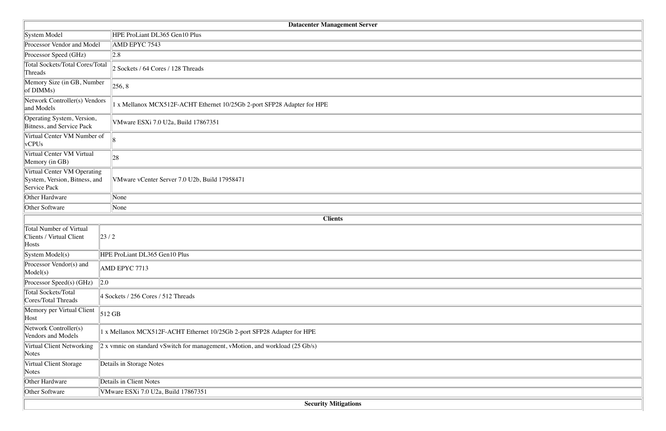|                                                                              | <b>Datacenter Management Server</b>                                                       |  |  |  |  |  |  |  |
|------------------------------------------------------------------------------|-------------------------------------------------------------------------------------------|--|--|--|--|--|--|--|
| System Model                                                                 | HPE ProLiant DL365 Gen10 Plus                                                             |  |  |  |  |  |  |  |
| Processor Vendor and Model                                                   | AMD EPYC 7543                                                                             |  |  |  |  |  |  |  |
| Processor Speed (GHz)                                                        | 2.8                                                                                       |  |  |  |  |  |  |  |
| Total Sockets/Total Cores/Total<br>Threads                                   | 2 Sockets / 64 Cores / 128 Threads                                                        |  |  |  |  |  |  |  |
| Memory Size (in GB, Number<br>of $DIMMs)$                                    | 256, 8                                                                                    |  |  |  |  |  |  |  |
| Network Controller(s) Vendors<br>and Models                                  | 1 x Mellanox MCX512F-ACHT Ethernet 10/25Gb 2-port SFP28 Adapter for HPE                   |  |  |  |  |  |  |  |
| Operating System, Version,<br>Bitness, and Service Pack                      | VMware ESXi 7.0 U2a, Build 17867351                                                       |  |  |  |  |  |  |  |
| Virtual Center VM Number of<br>vCPUs                                         |                                                                                           |  |  |  |  |  |  |  |
| Virtual Center VM Virtual<br>Memory (in GB)                                  | 28                                                                                        |  |  |  |  |  |  |  |
| Virtual Center VM Operating<br>System, Version, Bitness, and<br>Service Pack | VMware vCenter Server 7.0 U2b, Build 17958471                                             |  |  |  |  |  |  |  |
| Other Hardware<br>None                                                       |                                                                                           |  |  |  |  |  |  |  |
| Other Software                                                               | None                                                                                      |  |  |  |  |  |  |  |
|                                                                              | <b>Clients</b>                                                                            |  |  |  |  |  |  |  |
| Total Number of Virtual<br>Clients / Virtual Client<br>Hosts                 | 23/2                                                                                      |  |  |  |  |  |  |  |
| System Model(s)                                                              | HPE ProLiant DL365 Gen10 Plus                                                             |  |  |  |  |  |  |  |
| Processor Vendor(s) and<br>Model(s)                                          | AMD EPYC 7713                                                                             |  |  |  |  |  |  |  |
| Processor Speed(s) (GHz)                                                     | $\ 2.0\ $                                                                                 |  |  |  |  |  |  |  |
| Total Sockets/Total<br>Cores/Total Threads                                   | 4 Sockets / 256 Cores / 512 Threads                                                       |  |  |  |  |  |  |  |
| Memory per Virtual Client<br>Host                                            | $512$ GB                                                                                  |  |  |  |  |  |  |  |
| Network Controller(s)<br>Vendors and Models                                  | x Mellanox MCX512F-ACHT Ethernet 10/25Gb 2-port SFP28 Adapter for HPE                     |  |  |  |  |  |  |  |
| Virtual Client Networking<br>Notes                                           | $2 x$ vmnic on standard vSwitch for management, vMotion, and workload $(25 \text{ Gb/s})$ |  |  |  |  |  |  |  |
| Virtual Client Storage<br>Notes                                              | Details in Storage Notes                                                                  |  |  |  |  |  |  |  |
| Other Hardware                                                               | Details in Client Notes                                                                   |  |  |  |  |  |  |  |
| Other Software                                                               | VMware ESXi 7.0 U2a, Build 17867351                                                       |  |  |  |  |  |  |  |
|                                                                              | <b>Security Mitigations</b>                                                               |  |  |  |  |  |  |  |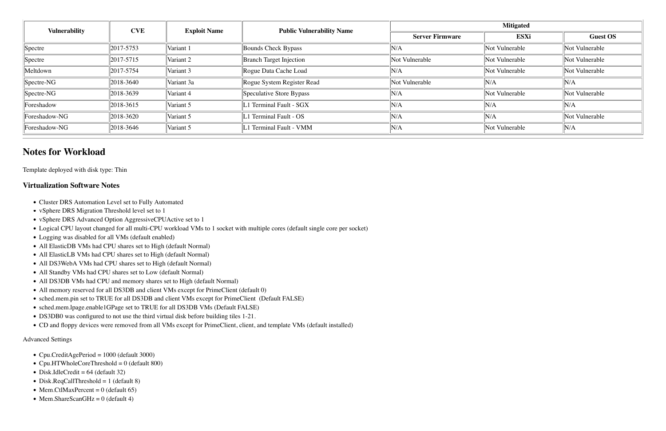| <b>Vulnerability</b>    | <b>CVE</b> | <b>Exploit Name</b> | <b>Public Vulnerability Name</b> |                        | <b>Mitigated</b> |                 |  |  |  |  |
|-------------------------|------------|---------------------|----------------------------------|------------------------|------------------|-----------------|--|--|--|--|
|                         |            |                     |                                  | <b>Server Firmware</b> | <b>ESXi</b>      | <b>Guest OS</b> |  |  |  |  |
| $\sqrt{\text{Spectre}}$ | 2017-5753  | Variant 1           | Bounds Check Bypass              | N/A                    | Not Vulnerable   | Not Vulnerable  |  |  |  |  |
| $\sqrt{\text{Spectre}}$ | 2017-5715  | Variant 2           | <b>Branch Target Injection</b>   | Not Vulnerable         | Not Vulnerable   | Not Vulnerable  |  |  |  |  |
| Meltdown                | 2017-5754  | Variant 3           | Rogue Data Cache Load            | N/A                    | Not Vulnerable   | Not Vulnerable  |  |  |  |  |
| $\parallel$ Spectre-NG  | 2018-3640  | Variant 3a          | Rogue System Register Read       | Not Vulnerable         | N/A              | N/A             |  |  |  |  |
| $\parallel$ Spectre-NG  | 2018-3639  | Variant 4           | Speculative Store Bypass         | N/A                    | Not Vulnerable   | Not Vulnerable  |  |  |  |  |
| Foreshadow              | 2018-3615  | Variant 5           | 1 Terminal Fault - SGX           | N/A                    | N/A              | N/A             |  |  |  |  |
| Foreshadow-NG           | 2018-3620  | Variant 5           | 1 Terminal Fault - OS            | N/A                    | N/A              | Not Vulnerable  |  |  |  |  |
| Foreshadow-NG           | 2018-3646  | Variant 5           | 1 Terminal Fault - VMM           | N/A                    | Not Vulnerable   | N/A             |  |  |  |  |

# **Notes for Workload**

Template deployed with disk type: Thin

# **Virtualization Software Notes**

- Cluster DRS Automation Level set to Fully Automated
- vSphere DRS Migration Threshold level set to 1
- vSphere DRS Advanced Option AggressiveCPUActive set to 1
- Logical CPU layout changed for all multi-CPU workload VMs to 1 socket with multiple cores (default single core per socket)
- Logging was disabled for all VMs (default enabled)
- All ElasticDB VMs had CPU shares set to High (default Normal)
- All ElasticLB VMs had CPU shares set to High (default Normal)
- All DS3WebA VMs had CPU shares set to High (default Normal)
- All Standby VMs had CPU shares set to Low (default Normal)
- All DS3DB VMs had CPU and memory shares set to High (default Normal)
- All memory reserved for all DS3DB and client VMs except for PrimeClient (default 0)
- !"sched.mem.pin set to TRUE for all DS3DB and client VMs except for PrimeClient (Default FALSE)
- !"sched.mem.lpage.enable1GPage set to TRUE for all DS3DB VMs (Default FALSE)
- DS3DB0 was configured to not use the third virtual disk before building tiles 1-21.
- !"CD and floppy devices were removed from all VMs except for PrimeClient, client, and template VMs (default installed)

#### Advanced Settings

- Cpu.CreditAgePeriod = 1000 (default 3000)
- Cpu.HTWholeCoreThreshold = 0 (default 800)
- $\bullet$  Disk.IdleCredit = 64 (default 32)
- $\bullet$  Disk.ReqCallThreshold = 1 (default 8)
- Mem.CtlMaxPercent =  $0$  (default 65)
- Mem.ShareScanGHz =  $0$  (default 4)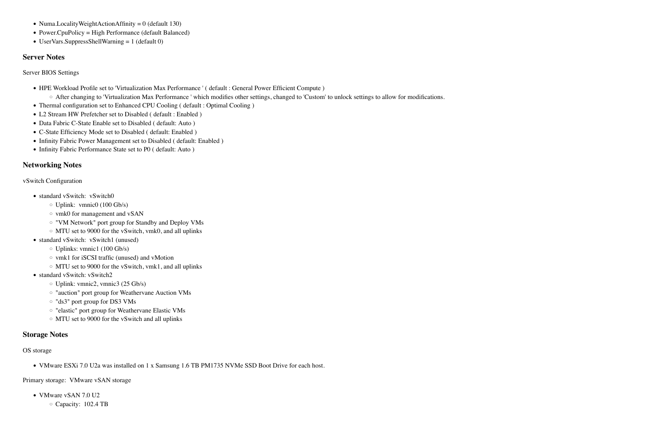- !"HPE Workload Profile set to 'Virtualization Max Performance ' ( default : General Power Efficient Compute )
	- o After changing to 'Virtualization Max Performance ' which modifies other settings, changed to 'Custom' to unlock settings to allow for modifications.
- Thermal configuration set to Enhanced CPU Cooling ( default : Optimal Cooling )
- L2 Stream HW Prefetcher set to Disabled ( default : Enabled )
- Data Fabric C-State Enable set to Disabled ( default: Auto )
- C-State Efficiency Mode set to Disabled ( default: Enabled )
- Infinity Fabric Power Management set to Disabled ( default: Enabled )
- Infinity Fabric Performance State set to P0 ( default: Auto )
- Numa.LocalityWeightActionAffinity =  $0$  (default 130)
- Power.CpuPolicy = High Performance (default Balanced)
- UserVars.SuppressShellWarning = 1 (default 0)

# **Server Notes**

Server BIOS Settings

# **Networking Notes**

vSwitch Configuration

- standard vSwitch: vSwitch0
	- $\circ$  Uplink: vmnic0 (100 Gb/s)
	- $\circ$  vmk0 for management and vSAN
	- $\circ$  "VM Network" port group for Standby and Deploy VMs
	- $\circ$  MTU set to 9000 for the vSwitch, vmk0, and all uplinks
- standard vSwitch: vSwitch1 (unused)
	- $\circ$  Uplinks: vmnic1 (100 Gb/s)
	- $\circ$  vmk1 for iSCSI traffic (unused) and vMotion
	- $\circ$  MTU set to 9000 for the vSwitch, vmk1, and all uplinks
- standard vSwitch: vSwitch2
	- $\circ$  Uplink: vmnic2, vmnic3 (25 Gb/s)
	- o "auction" port group for Weathervane Auction VMs
	- $\circ$  "ds3" port group for DS3 VMs
	- o "elastic" port group for Weathervane Elastic VMs
	- $\circ$  MTU set to 9000 for the vSwitch and all uplinks

# **Storage Notes**

# OS storage

• VMware ESXi 7.0 U2a was installed on 1 x Samsung 1.6 TB PM1735 NVMe SSD Boot Drive for each host.

Primary storage: VMware vSAN storage

- VMware vSAN 7.0 U2
	- $\circ$  Capacity: 102.4 TB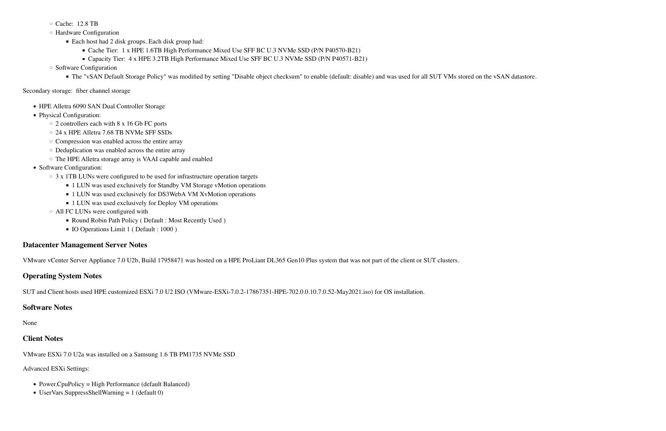- $\circ$  Cache: 12.8 TB
- $\circ$  Hardware Configuration
	- Each host had 2 disk groups. Each disk group had:
		- Cache Tier: 1 x HPE 1.6TB High Performance Mixed Use SFF BC U.3 NVMe SSD (P/N P40570-B21)
		- Capacity Tier: 4 x HPE 3.2TB High Performance Mixed Use SFF BC U.3 NVMe SSD (P/N P40571-B21)
- $\circ$  Software Configuration
	- \$"The "vSAN Default Storage Policy" was modified by setting "Disable object checksum" to enable (default: disable) and was used for all SUT VMs stored on the vSAN datastore.

## Secondary storage: fiber channel storage

- HPE Alletra 6090 SAN Dual Controller Storage
- Physical Configuration:
	- $\circ$  2 controllers each with 8 x 16 Gb FC ports
	- $\circ$  24 x HPE Alletra 7.68 TB NVMe SFF SSDs
	- $\circ$  Compression was enabled across the entire array
	- $\circ$  Deduplication was enabled across the entire array
	- $\circ$  The HPE Alletra storage array is VAAI capable and enabled
- Software Configuration:
	- $\circ$  3 x 1TB LUNs were configured to be used for infrastructure operation targets
		- 1 LUN was used exclusively for Standby VM Storage vMotion operations
		- 1 LUN was used exclusively for DS3WebA VM XvMotion operations
		- 1 LUN was used exclusively for Deploy VM operations
	- $\circ$  All FC LUNs were configured with
		- " Round Robin Path Policy ( Default : Most Recently Used )
		- **IO Operations Limit 1 ( Default : 1000 )**

# **Datacenter Management Server Notes**

VMware vCenter Server Appliance 7.0 U2b, Build 17958471 was hosted on a HPE ProLiant DL365 Gen10 Plus system that was not part of the client or SUT clusters.

# **Operating System Notes**

SUT and Client hosts used HPE customized ESXi 7.0 U2 ISO (VMware-ESXi-7.0.2-17867351-HPE-702.0.0.10.7.0.52-May2021.iso) for OS installation.

# **Software Notes**

None

# **Client Notes**

VMware ESXi 7.0 U2a was installed on a Samsung 1.6 TB PM1735 NVMe SSD

Advanced ESXi Settings:

- Power.CpuPolicy = High Performance (default Balanced)
- $\bullet$  UserVars.SuppressShellWarning = 1 (default 0)